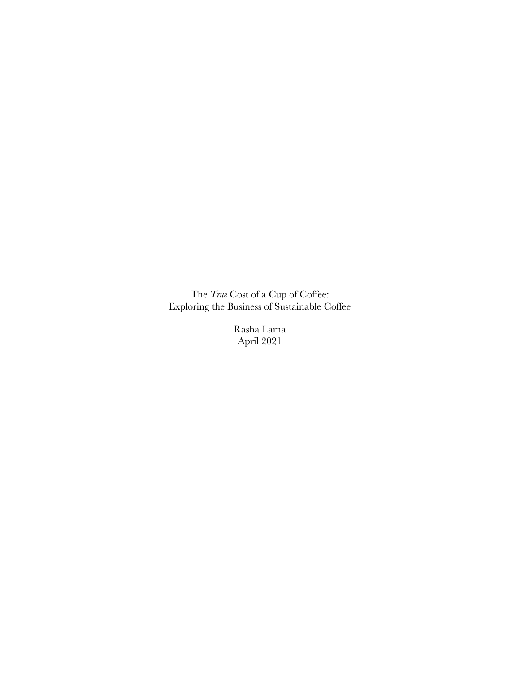The *True* Cost of a Cup of Coffee: Exploring the Business of Sustainable Coffee

> Rasha Lama April 2021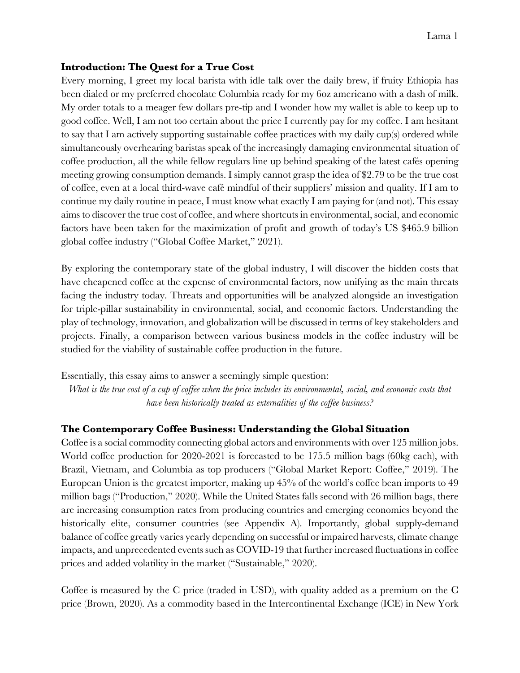#### Lama 1

### **Introduction: The Quest for a True Cost**

Every morning, I greet my local barista with idle talk over the daily brew, if fruity Ethiopia has been dialed or my preferred chocolate Columbia ready for my 6oz americano with a dash of milk. My order totals to a meager few dollars pre-tip and I wonder how my wallet is able to keep up to good coffee. Well, I am not too certain about the price I currently pay for my coffee. I am hesitant to say that I am actively supporting sustainable coffee practices with my daily cup(s) ordered while simultaneously overhearing baristas speak of the increasingly damaging environmental situation of coffee production, all the while fellow regulars line up behind speaking of the latest cafés opening meeting growing consumption demands. I simply cannot grasp the idea of \$2.79 to be the true cost of coffee, even at a local third-wave café mindful of their suppliers' mission and quality. If I am to continue my daily routine in peace, I must know what exactly I am paying for (and not). This essay aims to discover the true cost of coffee, and where shortcuts in environmental, social, and economic factors have been taken for the maximization of profit and growth of today's US \$465.9 billion global coffee industry ("Global Coffee Market," 2021).

By exploring the contemporary state of the global industry, I will discover the hidden costs that have cheapened coffee at the expense of environmental factors, now unifying as the main threats facing the industry today. Threats and opportunities will be analyzed alongside an investigation for triple-pillar sustainability in environmental, social, and economic factors. Understanding the play of technology, innovation, and globalization will be discussed in terms of key stakeholders and projects. Finally, a comparison between various business models in the coffee industry will be studied for the viability of sustainable coffee production in the future.

Essentially, this essay aims to answer a seemingly simple question:

*What is the true cost of a cup of coffee when the price includes its environmental, social, and economic costs that have been historically treated as externalities of the coffee business?*

### **The Contemporary Coffee Business: Understanding the Global Situation**

Coffee is a social commodity connecting global actors and environments with over 125 million jobs. World coffee production for 2020-2021 is forecasted to be 175.5 million bags (60kg each), with Brazil, Vietnam, and Columbia as top producers ("Global Market Report: Coffee," 2019). The European Union is the greatest importer, making up 45% of the world's coffee bean imports to 49 million bags ("Production," 2020). While the United States falls second with 26 million bags, there are increasing consumption rates from producing countries and emerging economies beyond the historically elite, consumer countries (see Appendix A). Importantly, global supply-demand balance of coffee greatly varies yearly depending on successful or impaired harvests, climate change impacts, and unprecedented events such as COVID-19 that further increased fluctuations in coffee prices and added volatility in the market ("Sustainable," 2020).

Coffee is measured by the C price (traded in USD), with quality added as a premium on the C price (Brown, 2020). As a commodity based in the Intercontinental Exchange (ICE) in New York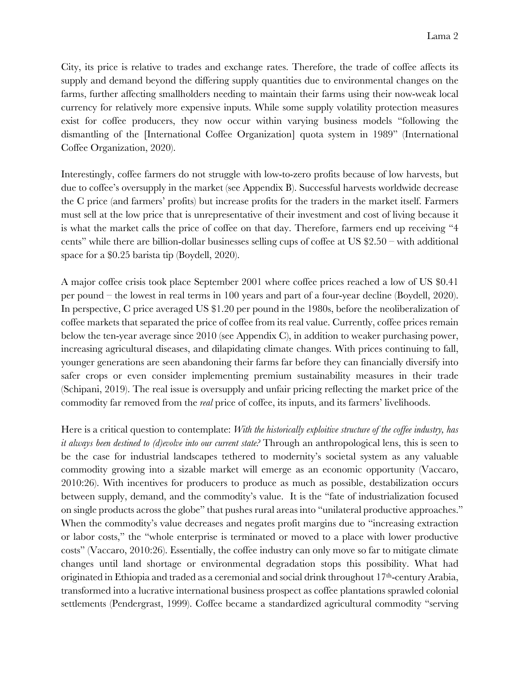City, its price is relative to trades and exchange rates. Therefore, the trade of coffee affects its supply and demand beyond the differing supply quantities due to environmental changes on the farms, further affecting smallholders needing to maintain their farms using their now-weak local currency for relatively more expensive inputs. While some supply volatility protection measures exist for coffee producers, they now occur within varying business models "following the dismantling of the [International Coffee Organization] quota system in 1989" (International Coffee Organization, 2020).

Interestingly, coffee farmers do not struggle with low-to-zero profits because of low harvests, but due to coffee's oversupply in the market (see Appendix B). Successful harvests worldwide decrease the C price (and farmers' profits) but increase profits for the traders in the market itself. Farmers must sell at the low price that is unrepresentative of their investment and cost of living because it is what the market calls the price of coffee on that day. Therefore, farmers end up receiving "4 cents" while there are billion-dollar businesses selling cups of coffee at US  $2.50$  – with additional space for a \$0.25 barista tip (Boydell, 2020).

A major coffee crisis took place September 2001 where coffee prices reached a low of US \$0.41 per pound – the lowest in real terms in 100 years and part of a four-year decline (Boydell, 2020). In perspective, C price averaged US \$1.20 per pound in the 1980s, before the neoliberalization of coffee markets that separated the price of coffee from its real value. Currently, coffee prices remain below the ten-year average since 2010 (see Appendix C), in addition to weaker purchasing power, increasing agricultural diseases, and dilapidating climate changes. With prices continuing to fall, younger generations are seen abandoning their farms far before they can financially diversify into safer crops or even consider implementing premium sustainability measures in their trade (Schipani, 2019). The real issue is oversupply and unfair pricing reflecting the market price of the commodity far removed from the *real* price of coffee, its inputs, and its farmers' livelihoods.

Here is a critical question to contemplate: *With the historically exploitive structure of the coffee industry, has it always been destined to (d)evolve into our current state?* Through an anthropological lens, this is seen to be the case for industrial landscapes tethered to modernity's societal system as any valuable commodity growing into a sizable market will emerge as an economic opportunity (Vaccaro, 2010:26). With incentives for producers to produce as much as possible, destabilization occurs between supply, demand, and the commodity's value. It is the "fate of industrialization focused on single products across the globe" that pushes rural areas into "unilateral productive approaches." When the commodity's value decreases and negates profit margins due to "increasing extraction" or labor costs," the "whole enterprise is terminated or moved to a place with lower productive costs" (Vaccaro, 2010:26). Essentially, the coffee industry can only move so far to mitigate climate changes until land shortage or environmental degradation stops this possibility. What had originated in Ethiopia and traded as a ceremonial and social drink throughout 17<sup>th</sup>-century Arabia, transformed into a lucrative international business prospect as coffee plantations sprawled colonial settlements (Pendergrast, 1999). Coffee became a standardized agricultural commodity "serving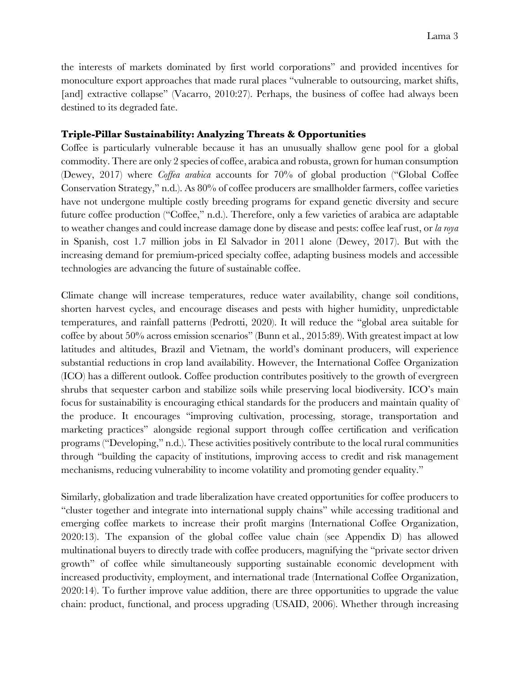the interests of markets dominated by first world corporations" and provided incentives for monoculture export approaches that made rural places "vulnerable to outsourcing, market shifts, [and] extractive collapse" (Vacarro, 2010:27). Perhaps, the business of coffee had always been destined to its degraded fate.

## **Triple-Pillar Sustainability: Analyzing Threats & Opportunities**

Coffee is particularly vulnerable because it has an unusually shallow gene pool for a global commodity. There are only 2 species of coffee, arabica and robusta, grown for human consumption (Dewey, 2017) where *Coffea arabica* accounts for 70% of global production ("Global Coffee Conservation Strategy," n.d.). As 80% of coffee producers are smallholder farmers, coffee varieties have not undergone multiple costly breeding programs for expand genetic diversity and secure future coffee production ("Coffee," n.d.). Therefore, only a few varieties of arabica are adaptable to weather changes and could increase damage done by disease and pests: coffee leaf rust, or *la roya* in Spanish, cost 1.7 million jobs in El Salvador in 2011 alone (Dewey, 2017). But with the increasing demand for premium-priced specialty coffee, adapting business models and accessible technologies are advancing the future of sustainable coffee.

Climate change will increase temperatures, reduce water availability, change soil conditions, shorten harvest cycles, and encourage diseases and pests with higher humidity, unpredictable temperatures, and rainfall patterns (Pedrotti, 2020). It will reduce the "global area suitable for coffee by about 50% across emission scenarios" (Bunn et al., 2015:89). With greatest impact at low latitudes and altitudes, Brazil and Vietnam, the world's dominant producers, will experience substantial reductions in crop land availability. However, the International Coffee Organization (ICO) has a different outlook. Coffee production contributes positively to the growth of evergreen shrubs that sequester carbon and stabilize soils while preserving local biodiversity. ICO's main focus for sustainability is encouraging ethical standards for the producers and maintain quality of the produce. It encourages "improving cultivation, processing, storage, transportation and marketing practices" alongside regional support through coffee certification and verification programs ("Developing," n.d.). These activities positively contribute to the local rural communities through "building the capacity of institutions, improving access to credit and risk management mechanisms, reducing vulnerability to income volatility and promoting gender equality."

Similarly, globalization and trade liberalization have created opportunities for coffee producers to "cluster together and integrate into international supply chains" while accessing traditional and emerging coffee markets to increase their profit margins (International Coffee Organization, 2020:13). The expansion of the global coffee value chain (see Appendix D) has allowed multinational buyers to directly trade with coffee producers, magnifying the "private sector driven growth" of coffee while simultaneously supporting sustainable economic development with increased productivity, employment, and international trade (International Coffee Organization, 2020:14). To further improve value addition, there are three opportunities to upgrade the value chain: product, functional, and process upgrading (USAID, 2006). Whether through increasing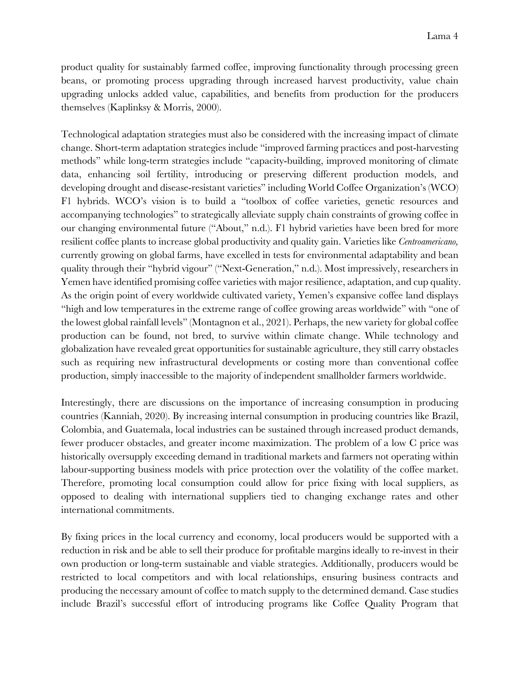product quality for sustainably farmed coffee, improving functionality through processing green beans, or promoting process upgrading through increased harvest productivity, value chain upgrading unlocks added value, capabilities, and benefits from production for the producers themselves (Kaplinksy & Morris, 2000).

Technological adaptation strategies must also be considered with the increasing impact of climate change. Short-term adaptation strategies include "improved farming practices and post-harvesting methods" while long-term strategies include "capacity-building, improved monitoring of climate data, enhancing soil fertility, introducing or preserving different production models, and developing drought and disease-resistant varieties" including World Coffee Organization's (WCO) F1 hybrids. WCO's vision is to build a "toolbox of coffee varieties, genetic resources and accompanying technologies" to strategically alleviate supply chain constraints of growing coffee in our changing environmental future ("About," n.d.). F1 hybrid varieties have been bred for more resilient coffee plants to increase global productivity and quality gain. Varieties like *Centroamericano,*  currently growing on global farms, have excelled in tests for environmental adaptability and bean quality through their "hybrid vigour" ("Next-Generation," n.d.). Most impressively, researchers in Yemen have identified promising coffee varieties with major resilience, adaptation, and cup quality. As the origin point of every worldwide cultivated variety, Yemen's expansive coffee land displays "high and low temperatures in the extreme range of coffee growing areas worldwide" with "one of the lowest global rainfall levels" (Montagnon et al., 2021). Perhaps, the new variety for global coffee production can be found, not bred, to survive within climate change. While technology and globalization have revealed great opportunities for sustainable agriculture, they still carry obstacles such as requiring new infrastructural developments or costing more than conventional coffee production, simply inaccessible to the majority of independent smallholder farmers worldwide.

Interestingly, there are discussions on the importance of increasing consumption in producing countries (Kanniah, 2020). By increasing internal consumption in producing countries like Brazil, Colombia, and Guatemala, local industries can be sustained through increased product demands, fewer producer obstacles, and greater income maximization. The problem of a low C price was historically oversupply exceeding demand in traditional markets and farmers not operating within labour-supporting business models with price protection over the volatility of the coffee market. Therefore, promoting local consumption could allow for price fixing with local suppliers, as opposed to dealing with international suppliers tied to changing exchange rates and other international commitments.

By fixing prices in the local currency and economy, local producers would be supported with a reduction in risk and be able to sell their produce for profitable margins ideally to re-invest in their own production or long-term sustainable and viable strategies. Additionally, producers would be restricted to local competitors and with local relationships, ensuring business contracts and producing the necessary amount of coffee to match supply to the determined demand. Case studies include Brazil's successful effort of introducing programs like Coffee Quality Program that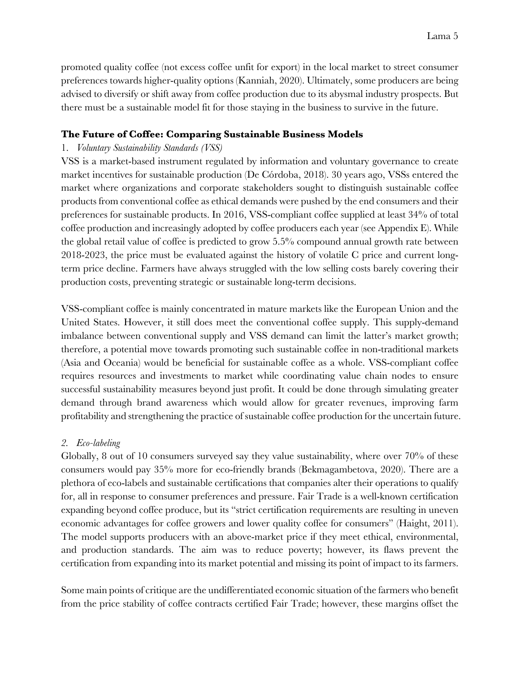promoted quality coffee (not excess coffee unfit for export) in the local market to street consumer preferences towards higher-quality options (Kanniah, 2020). Ultimately, some producers are being advised to diversify or shift away from coffee production due to its abysmal industry prospects. But there must be a sustainable model fit for those staying in the business to survive in the future.

## **The Future of Coffee: Comparing Sustainable Business Models**

# 1. *Voluntary Sustainability Standards (VSS)*

VSS is a market-based instrument regulated by information and voluntary governance to create market incentives for sustainable production (De Córdoba, 2018). 30 years ago, VSSs entered the market where organizations and corporate stakeholders sought to distinguish sustainable coffee products from conventional coffee as ethical demands were pushed by the end consumers and their preferences for sustainable products. In 2016, VSS-compliant coffee supplied at least 34% of total coffee production and increasingly adopted by coffee producers each year (see Appendix E). While the global retail value of coffee is predicted to grow 5.5% compound annual growth rate between 2018-2023, the price must be evaluated against the history of volatile C price and current longterm price decline. Farmers have always struggled with the low selling costs barely covering their production costs, preventing strategic or sustainable long-term decisions.

VSS-compliant coffee is mainly concentrated in mature markets like the European Union and the United States. However, it still does meet the conventional coffee supply. This supply-demand imbalance between conventional supply and VSS demand can limit the latter's market growth; therefore, a potential move towards promoting such sustainable coffee in non-traditional markets (Asia and Oceania) would be beneficial for sustainable coffee as a whole. VSS-compliant coffee requires resources and investments to market while coordinating value chain nodes to ensure successful sustainability measures beyond just profit. It could be done through simulating greater demand through brand awareness which would allow for greater revenues, improving farm profitability and strengthening the practice of sustainable coffee production for the uncertain future.

## *2. Eco-labeling*

Globally, 8 out of 10 consumers surveyed say they value sustainability, where over 70% of these consumers would pay 35% more for eco-friendly brands (Bekmagambetova, 2020). There are a plethora of eco-labels and sustainable certifications that companies alter their operations to qualify for, all in response to consumer preferences and pressure. Fair Trade is a well-known certification expanding beyond coffee produce, but its "strict certification requirements are resulting in uneven economic advantages for coffee growers and lower quality coffee for consumers" (Haight, 2011). The model supports producers with an above-market price if they meet ethical, environmental, and production standards. The aim was to reduce poverty; however, its flaws prevent the certification from expanding into its market potential and missing its point of impact to its farmers.

Some main points of critique are the undifferentiated economic situation of the farmers who benefit from the price stability of coffee contracts certified Fair Trade; however, these margins offset the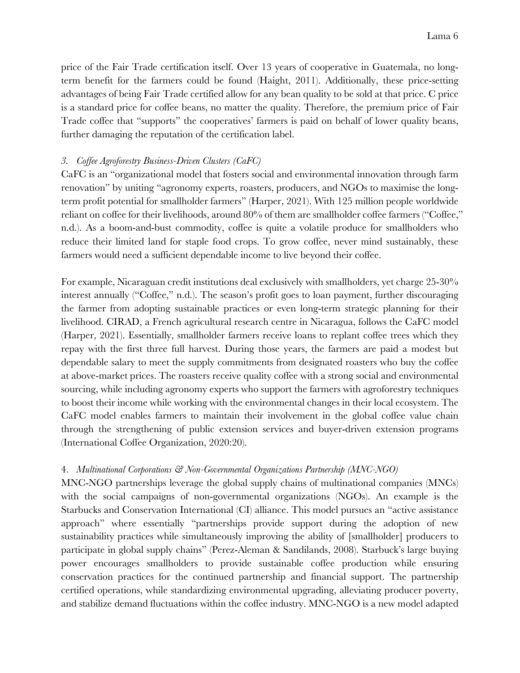price of the Fair Trade certification itself. Over 13 years of cooperative in Guatemala, no longterm benefit for the farmers could be found (Haight, 2011). Additionally, these price-setting advantages of being Fair Trade certified allow for any bean quality to be sold at that price. C price is a standard price for coffee beans, no matter the quality. Therefore, the premium price of Fair Trade coffee that "supports" the cooperatives' farmers is paid on behalf of lower quality beans, further damaging the reputation of the certification label.

## *3. Coffee Agroforestry Business-Driven Clusters (CaFC)*

CaFC is an "organizational model that fosters social and environmental innovation through farm renovation" by uniting "agronomy experts, roasters, producers, and NGOs to maximise the longterm profit potential for smallholder farmers" (Harper, 2021). With 125 million people worldwide reliant on coffee for their livelihoods, around 80% of them are smallholder coffee farmers ("Coffee," n.d.). As a boom-and-bust commodity, coffee is quite a volatile produce for smallholders who reduce their limited land for staple food crops. To grow coffee, never mind sustainably, these farmers would need a sufficient dependable income to live beyond their coffee.

For example, Nicaraguan credit institutions deal exclusively with smallholders, yet charge 25-30% interest annually ("Coffee," n.d.). The season's profit goes to loan payment, further discouraging the farmer from adopting sustainable practices or even long-term strategic planning for their livelihood. CIRAD, a French agricultural research centre in Nicaragua, follows the CaFC model (Harper, 2021). Essentially, smallholder farmers receive loans to replant coffee trees which they repay with the first three full harvest. During those years, the farmers are paid a modest but dependable salary to meet the supply commitments from designated roasters who buy the coffee at above-market prices. The roasters receive quality coffee with a strong social and environmental sourcing, while including agronomy experts who support the farmers with agroforestry techniques to boost their income while working with the environmental changes in their local ecosystem. The CaFC model enables farmers to maintain their involvement in the global coffee value chain through the strengthening of public extension services and buyer-driven extension programs (International Coffee Organization, 2020:20).

## 4. *Multinational Corporations & Non-Governmental Organizations Partnership (MNC-NGO)*

MNC-NGO partnerships leverage the global supply chains of multinational companies (MNCs) with the social campaigns of non-governmental organizations (NGOs). An example is the Starbucks and Conservation International (CI) alliance. This model pursues an "active assistance approach" where essentially "partnerships provide support during the adoption of new sustainability practices while simultaneously improving the ability of [smallholder] producers to participate in global supply chains" (Perez-Aleman & Sandilands, 2008). Starbuck's large buying power encourages smallholders to provide sustainable coffee production while ensuring conservation practices for the continued partnership and financial support. The partnership certified operations, while standardizing environmental upgrading, alleviating producer poverty, and stabilize demand fluctuations within the coffee industry. MNC-NGO is a new model adapted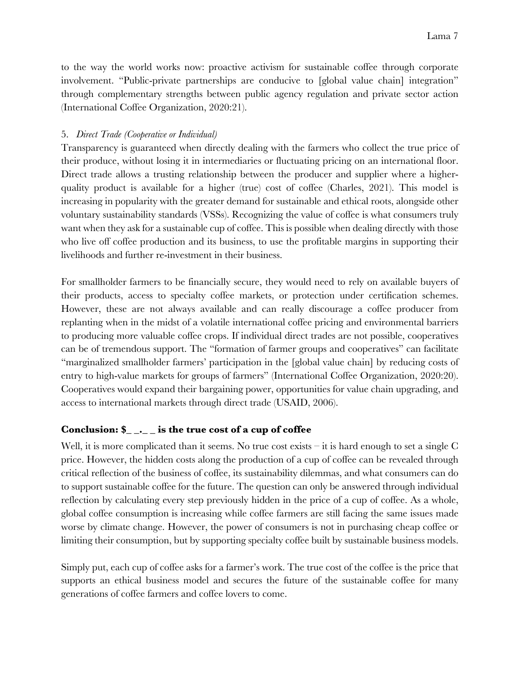to the way the world works now: proactive activism for sustainable coffee through corporate involvement. "Public-private partnerships are conducive to [global value chain] integration" through complementary strengths between public agency regulation and private sector action (International Coffee Organization, 2020:21).

## 5. *Direct Trade (Cooperative or Individual)*

Transparency is guaranteed when directly dealing with the farmers who collect the true price of their produce, without losing it in intermediaries or fluctuating pricing on an international floor. Direct trade allows a trusting relationship between the producer and supplier where a higherquality product is available for a higher (true) cost of coffee (Charles, 2021). This model is increasing in popularity with the greater demand for sustainable and ethical roots, alongside other voluntary sustainability standards (VSSs). Recognizing the value of coffee is what consumers truly want when they ask for a sustainable cup of coffee. This is possible when dealing directly with those who live off coffee production and its business, to use the profitable margins in supporting their livelihoods and further re-investment in their business.

For smallholder farmers to be financially secure, they would need to rely on available buyers of their products, access to specialty coffee markets, or protection under certification schemes. However, these are not always available and can really discourage a coffee producer from replanting when in the midst of a volatile international coffee pricing and environmental barriers to producing more valuable coffee crops. If individual direct trades are not possible, cooperatives can be of tremendous support. The "formation of farmer groups and cooperatives" can facilitate "marginalized smallholder farmers' participation in the [global value chain] by reducing costs of entry to high-value markets for groups of farmers" (International Coffee Organization, 2020:20). Cooperatives would expand their bargaining power, opportunities for value chain upgrading, and access to international markets through direct trade (USAID, 2006).

# **Conclusion: \$\_ \_.\_ \_ is the true cost of a cup of coffee**

Well, it is more complicated than it seems. No true cost exists – it is hard enough to set a single C price. However, the hidden costs along the production of a cup of coffee can be revealed through critical reflection of the business of coffee, its sustainability dilemmas, and what consumers can do to support sustainable coffee for the future. The question can only be answered through individual reflection by calculating every step previously hidden in the price of a cup of coffee. As a whole, global coffee consumption is increasing while coffee farmers are still facing the same issues made worse by climate change. However, the power of consumers is not in purchasing cheap coffee or limiting their consumption, but by supporting specialty coffee built by sustainable business models.

Simply put, each cup of coffee asks for a farmer's work. The true cost of the coffee is the price that supports an ethical business model and secures the future of the sustainable coffee for many generations of coffee farmers and coffee lovers to come.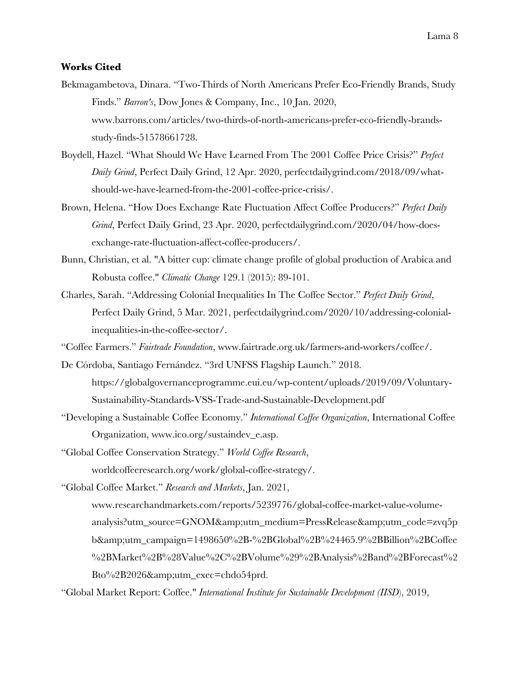#### **Works Cited**

- Bekmagambetova, Dinara. "Two-Thirds of North Americans Prefer Eco-Friendly Brands, Study Finds." *Barron's*, Dow Jones & Company, Inc., 10 Jan. 2020, www.barrons.com/articles/two-thirds-of-north-americans-prefer-eco-friendly-brandsstudy-finds-51578661728.
- Boydell, Hazel. "What Should We Have Learned From The 2001 Coffee Price Crisis?" *Perfect Daily Grind*, Perfect Daily Grind, 12 Apr. 2020, perfectdailygrind.com/2018/09/whatshould-we-have-learned-from-the-2001-coffee-price-crisis/.
- Brown, Helena. "How Does Exchange Rate Fluctuation Affect Coffee Producers?" *Perfect Daily Grind*, Perfect Daily Grind, 23 Apr. 2020, perfectdailygrind.com/2020/04/how-doesexchange-rate-fluctuation-affect-coffee-producers/.
- Bunn, Christian, et al. "A bitter cup: climate change profile of global production of Arabica and Robusta coffee." *Climatic Change* 129.1 (2015): 89-101.
- Charles, Sarah. "Addressing Colonial Inequalities In The Coffee Sector." *Perfect Daily Grind*, Perfect Daily Grind, 5 Mar. 2021, perfectdailygrind.com/2020/10/addressing-colonialinequalities-in-the-coffee-sector/.
- "Coffee Farmers." *Fairtrade Foundation*, www.fairtrade.org.uk/farmers-and-workers/coffee/.
- De Córdoba, Santiago Fernández. "3rd UNFSS Flagship Launch." 2018. https://globalgovernanceprogramme.eui.eu/wp-content/uploads/2019/09/Voluntary-Sustainability-Standards-VSS-Trade-and-Sustainable-Development.pdf
- "Developing a Sustainable Coffee Economy." *International Coffee Organization*, International Coffee Organization, www.ico.org/sustaindev\_e.asp.
- "Global Coffee Conservation Strategy." *World Coffee Research*, worldcoffeeresearch.org/work/global-coffee-strategy/.

"Global Coffee Market." *Research and Markets*, Jan. 2021,

www.researchandmarkets.com/reports/5239776/global-coffee-market-value-volumeanalysis?utm\_source=GNOM&utm\_medium=PressRelease&utm\_code=zvq5p b&utm\_campaign=1498650%2B-%2BGlobal%2B%24465.9%2BBillion%2BCoffee %2BMarket%2B%28Value%2C%2BVolume%29%2BAnalysis%2Band%2BForecast%2 Bto%2B2026&utm\_exec=chdo54prd.

"Global Market Report: Coffee." *International Institute for Sustainable Development (IISD*), 2019,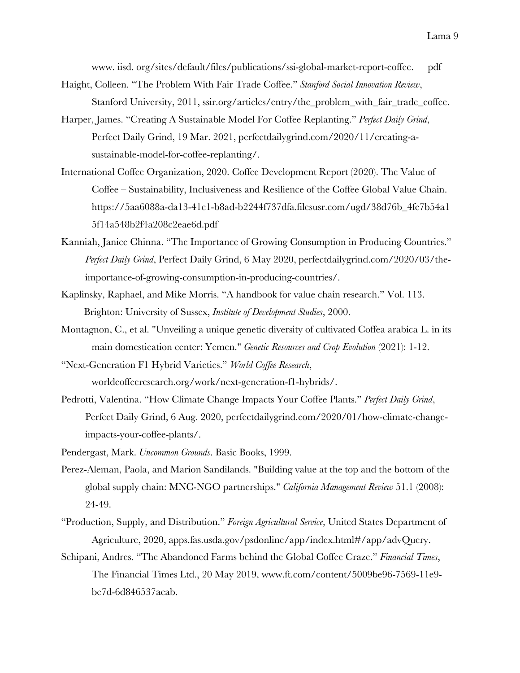www. iisd. org/sites/default/files/publications/ssi-global-market-report-coffee. pdf

- Haight, Colleen. "The Problem With Fair Trade Coffee." *Stanford Social Innovation Review*, Stanford University, 2011, ssir.org/articles/entry/the\_problem\_with\_fair\_trade\_coffee.
- Harper, James. "Creating A Sustainable Model For Coffee Replanting." *Perfect Daily Grind*, Perfect Daily Grind, 19 Mar. 2021, perfectdailygrind.com/2020/11/creating-asustainable-model-for-coffee-replanting/.
- International Coffee Organization, 2020. Coffee Development Report (2020). The Value of Coffee – Sustainability, Inclusiveness and Resilience of the Coffee Global Value Chain. https://5aa6088a-da13-41c1-b8ad-b2244f737dfa.filesusr.com/ugd/38d76b\_4fc7b54a1 5f14a548b2f4a208c2eae6d.pdf
- Kanniah, Janice Chinna. "The Importance of Growing Consumption in Producing Countries." *Perfect Daily Grind*, Perfect Daily Grind, 6 May 2020, perfectdailygrind.com/2020/03/theimportance-of-growing-consumption-in-producing-countries/.
- Kaplinsky, Raphael, and Mike Morris. "A handbook for value chain research." Vol. 113. Brighton: University of Sussex, *Institute of Development Studies*, 2000.
- Montagnon, C., et al. "Unveiling a unique genetic diversity of cultivated Coffea arabica L. in its main domestication center: Yemen." *Genetic Resources and Crop Evolution* (2021): 1-12.

"Next-Generation F1 Hybrid Varieties." *World Coffee Research*, worldcoffeeresearch.org/work/next-generation-f1-hybrids/.

- Pedrotti, Valentina. "How Climate Change Impacts Your Coffee Plants." *Perfect Daily Grind*, Perfect Daily Grind, 6 Aug. 2020, perfectdailygrind.com/2020/01/how-climate-changeimpacts-your-coffee-plants/.
- Pendergast, Mark. *Uncommon Grounds*. Basic Books, 1999.
- Perez-Aleman, Paola, and Marion Sandilands. "Building value at the top and the bottom of the global supply chain: MNC-NGO partnerships." *California Management Review* 51.1 (2008): 24-49.
- "Production, Supply, and Distribution." *Foreign Agricultural Service*, United States Department of Agriculture, 2020, apps.fas.usda.gov/psdonline/app/index.html#/app/advQuery.
- Schipani, Andres. "The Abandoned Farms behind the Global Coffee Craze." *Financial Times*, The Financial Times Ltd., 20 May 2019, www.ft.com/content/5009be96-7569-11e9 be7d-6d846537acab.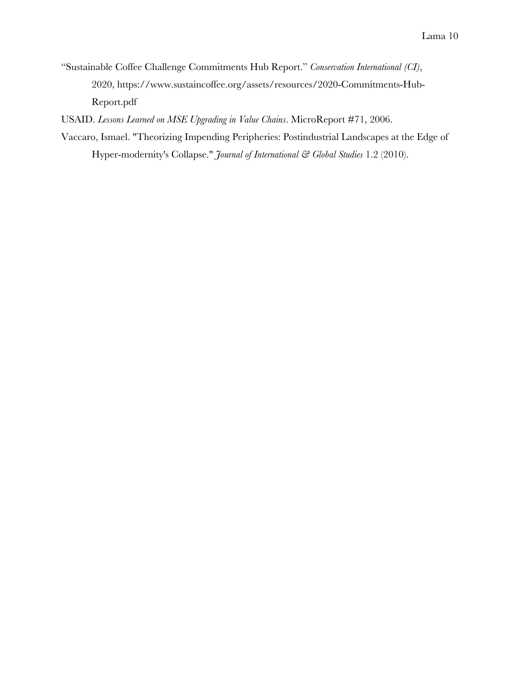"Sustainable Coffee Challenge Commitments Hub Report." *Conservation International (CI)*, 2020, https://www.sustaincoffee.org/assets/resources/2020-Commitments-Hub-Report.pdf

USAID. *Lessons Learned on MSE Upgrading in Value Chains*. MicroReport #71, 2006.

Vaccaro, Ismael. "Theorizing Impending Peripheries: Postindustrial Landscapes at the Edge of Hyper-modernity's Collapse." *Journal of International & Global Studies* 1.2 (2010).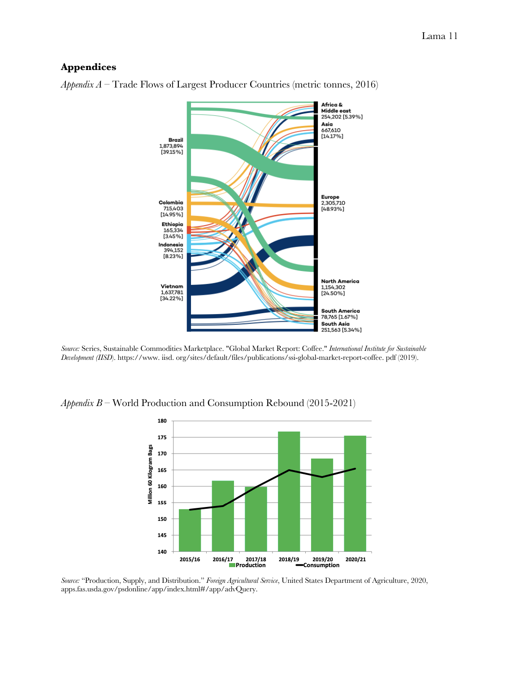#### **Appendices**



*Appendix A –* Trade Flows of Largest Producer Countries (metric tonnes, 2016)

*Source:* Series, Sustainable Commodities Marketplace. "Global Market Report: Coffee." *International Institute for Sustainable Development (IISD*). https://www. iisd. org/sites/default/files/publications/ssi-global-market-report-coffee. pdf (2019).

*Appendix B –* World Production and Consumption Rebound (2015-2021)



*Source:* "Production, Supply, and Distribution." *Foreign Agricultural Service*, United States Department of Agriculture, 2020, apps.fas.usda.gov/psdonline/app/index.html#/app/advQuery.